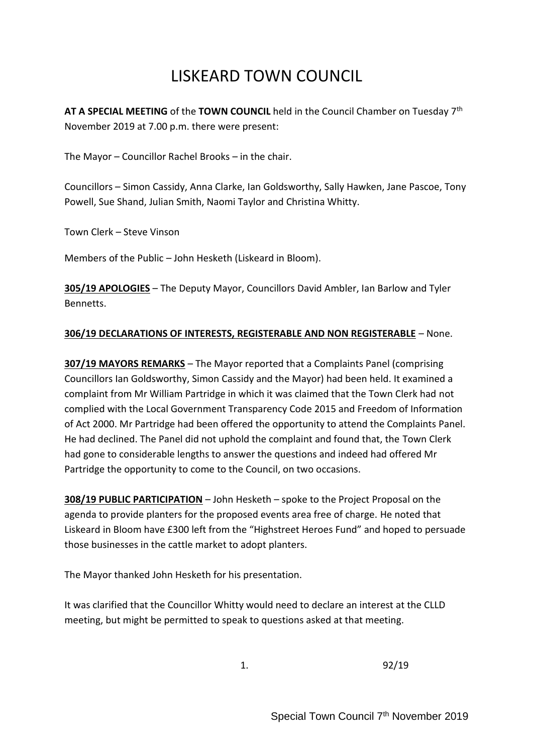# LISKEARD TOWN COUNCIL

**AT A SPECIAL MEETING** of the **TOWN COUNCIL** held in the Council Chamber on Tuesday 7th November 2019 at 7.00 p.m. there were present:

The Mayor – Councillor Rachel Brooks – in the chair.

Councillors – Simon Cassidy, Anna Clarke, Ian Goldsworthy, Sally Hawken, Jane Pascoe, Tony Powell, Sue Shand, Julian Smith, Naomi Taylor and Christina Whitty.

Town Clerk – Steve Vinson

Members of the Public – John Hesketh (Liskeard in Bloom).

**305/19 APOLOGIES** – The Deputy Mayor, Councillors David Ambler, Ian Barlow and Tyler Bennetts.

#### **306/19 DECLARATIONS OF INTERESTS, REGISTERABLE AND NON REGISTERABLE** – None.

**307/19 MAYORS REMARKS** – The Mayor reported that a Complaints Panel (comprising Councillors Ian Goldsworthy, Simon Cassidy and the Mayor) had been held. It examined a complaint from Mr William Partridge in which it was claimed that the Town Clerk had not complied with the Local Government Transparency Code 2015 and Freedom of Information of Act 2000. Mr Partridge had been offered the opportunity to attend the Complaints Panel. He had declined. The Panel did not uphold the complaint and found that, the Town Clerk had gone to considerable lengths to answer the questions and indeed had offered Mr Partridge the opportunity to come to the Council, on two occasions.

**308/19 PUBLIC PARTICIPATION** – John Hesketh – spoke to the Project Proposal on the agenda to provide planters for the proposed events area free of charge. He noted that Liskeard in Bloom have £300 left from the "Highstreet Heroes Fund" and hoped to persuade those businesses in the cattle market to adopt planters.

The Mayor thanked John Hesketh for his presentation.

It was clarified that the Councillor Whitty would need to declare an interest at the CLLD meeting, but might be permitted to speak to questions asked at that meeting.

1. 92/19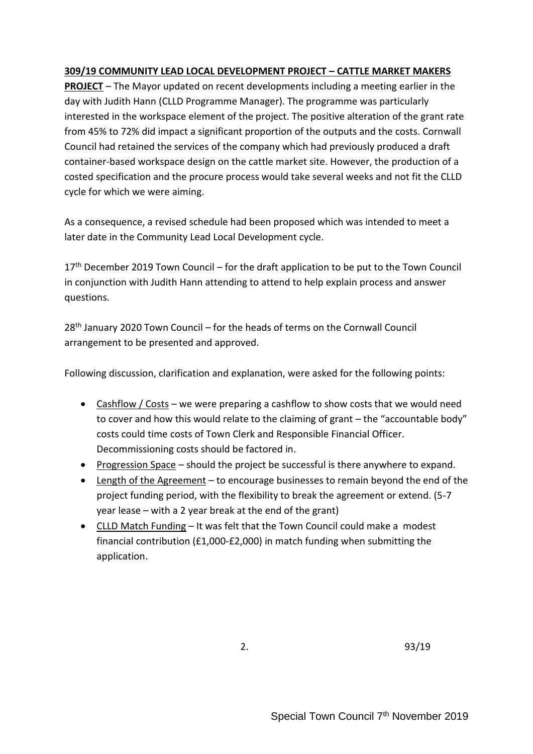### **309/19 COMMUNITY LEAD LOCAL DEVELOPMENT PROJECT – CATTLE MARKET MAKERS**

**PROJECT** – The Mayor updated on recent developments including a meeting earlier in the day with Judith Hann (CLLD Programme Manager). The programme was particularly interested in the workspace element of the project. The positive alteration of the grant rate from 45% to 72% did impact a significant proportion of the outputs and the costs. Cornwall Council had retained the services of the company which had previously produced a draft container-based workspace design on the cattle market site. However, the production of a costed specification and the procure process would take several weeks and not fit the CLLD cycle for which we were aiming.

As a consequence, a revised schedule had been proposed which was intended to meet a later date in the Community Lead Local Development cycle.

 $17<sup>th</sup>$  December 2019 Town Council – for the draft application to be put to the Town Council in conjunction with Judith Hann attending to attend to help explain process and answer questions.

28<sup>th</sup> January 2020 Town Council – for the heads of terms on the Cornwall Council arrangement to be presented and approved.

Following discussion, clarification and explanation, were asked for the following points:

- Cashflow / Costs we were preparing a cashflow to show costs that we would need to cover and how this would relate to the claiming of grant – the "accountable body" costs could time costs of Town Clerk and Responsible Financial Officer. Decommissioning costs should be factored in.
- Progression Space should the project be successful is there anywhere to expand.
- Length of the Agreement to encourage businesses to remain beyond the end of the project funding period, with the flexibility to break the agreement or extend. (5-7 year lease – with a 2 year break at the end of the grant)
- CLLD Match Funding It was felt that the Town Council could make a modest financial contribution (£1,000-£2,000) in match funding when submitting the application.

2. 93/19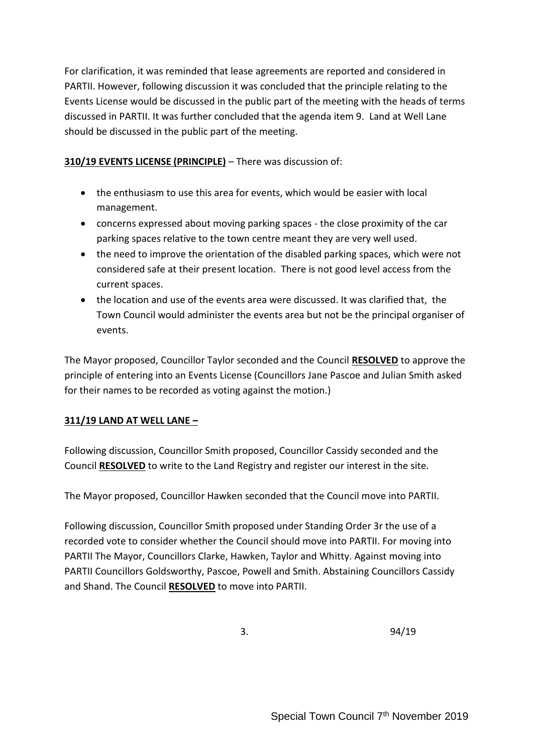For clarification, it was reminded that lease agreements are reported and considered in PARTII. However, following discussion it was concluded that the principle relating to the Events License would be discussed in the public part of the meeting with the heads of terms discussed in PARTII. It was further concluded that the agenda item 9. Land at Well Lane should be discussed in the public part of the meeting.

#### **310/19 EVENTS LICENSE (PRINCIPLE)** – There was discussion of:

- the enthusiasm to use this area for events, which would be easier with local management.
- concerns expressed about moving parking spaces the close proximity of the car parking spaces relative to the town centre meant they are very well used.
- the need to improve the orientation of the disabled parking spaces, which were not considered safe at their present location. There is not good level access from the current spaces.
- the location and use of the events area were discussed. It was clarified that, the Town Council would administer the events area but not be the principal organiser of events.

The Mayor proposed, Councillor Taylor seconded and the Council **RESOLVED** to approve the principle of entering into an Events License (Councillors Jane Pascoe and Julian Smith asked for their names to be recorded as voting against the motion.)

## **311/19 LAND AT WELL LANE –**

Following discussion, Councillor Smith proposed, Councillor Cassidy seconded and the Council **RESOLVED** to write to the Land Registry and register our interest in the site.

The Mayor proposed, Councillor Hawken seconded that the Council move into PARTII.

Following discussion, Councillor Smith proposed under Standing Order 3r the use of a recorded vote to consider whether the Council should move into PARTII. For moving into PARTII The Mayor, Councillors Clarke, Hawken, Taylor and Whitty. Against moving into PARTII Councillors Goldsworthy, Pascoe, Powell and Smith. Abstaining Councillors Cassidy and Shand. The Council **RESOLVED** to move into PARTII.

3. 94/19